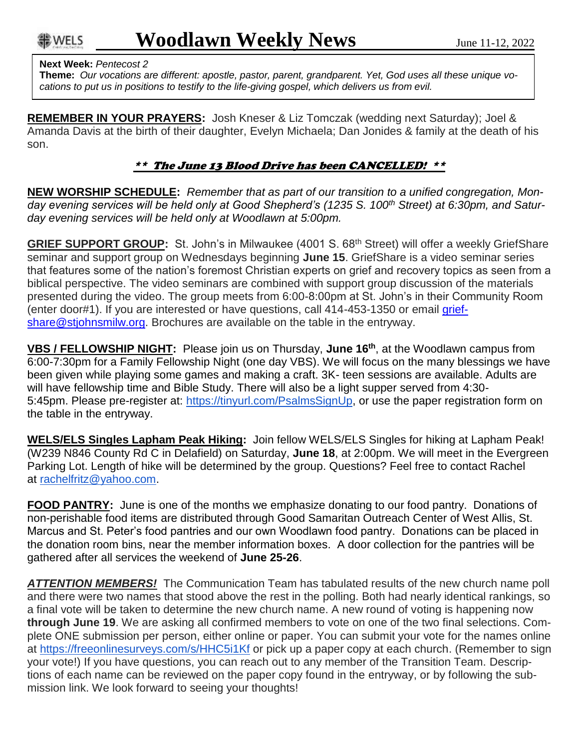## **Next Week:** *Pentecost 2*

**Theme:** *Our vocations are different: apostle, pastor, parent, grandparent. Yet, God uses all these unique vocations to put us in positions to testify to the life-giving gospel, which delivers us from evil.*

**REMEMBER IN YOUR PRAYERS:** Josh Kneser & Liz Tomczak (wedding next Saturday); Joel & Amanda Davis at the birth of their daughter, Evelyn Michaela; Dan Jonides & family at the death of his son.

## \*\* The June 13 Blood Drive has been CANCELLED! \*\*

**NEW WORSHIP SCHEDULE:** *Remember that as part of our transition to a unified congregation, Monday evening services will be held only at Good Shepherd's (1235 S. 100th Street) at 6:30pm, and Saturday evening services will be held only at Woodlawn at 5:00pm.*

**GRIEF SUPPORT GROUP:** St. John's in Milwaukee (4001 S. 68<sup>th</sup> Street) will offer a weekly GriefShare seminar and support group on Wednesdays beginning **June 15**. GriefShare is a video seminar series that features some of the nation's foremost Christian experts on grief and recovery topics as seen from a biblical perspective. The video seminars are combined with support group discussion of the materials presented during the video. The group meets from 6:00-8:00pm at St. John's in their Community Room (enter door#1). If you are interested or have questions, call 414-453-1350 or email griefshare@stjohnsmilw.org. Brochures are available on the table in the entryway.

**VBS / FELLOWSHIP NIGHT:** Please join us on Thursday, **June 16th** , at the Woodlawn campus from 6:00-7:30pm for a Family Fellowship Night (one day VBS). We will focus on the many blessings we have been given while playing some games and making a craft. 3K- teen sessions are available. Adults are will have fellowship time and Bible Study. There will also be a light supper served from 4:30- 5:45pm. Please pre-register at: https://tinyurl.com/PsalmsSignUp, or use the paper registration form on the table in the entryway.

**WELS/ELS Singles Lapham Peak Hiking:** Join fellow WELS/ELS Singles for hiking at Lapham Peak! (W239 N846 County Rd C in Delafield) on Saturday, **June 18**, at 2:00pm. We will meet in the Evergreen Parking Lot. Length of hike will be determined by the group. Questions? Feel free to contact Rachel at rachelfritz@yahoo.com.

**FOOD PANTRY:** June is one of the months we emphasize donating to our food pantry. Donations of non-perishable food items are distributed through Good Samaritan Outreach Center of West Allis, St. Marcus and St. Peter's food pantries and our own Woodlawn food pantry. Donations can be placed in the donation room bins, near the member information boxes. A door collection for the pantries will be gathered after all services the weekend of **June 25-26**.

**ATTENTION MEMBERS!** The Communication Team has tabulated results of the new church name poll and there were two names that stood above the rest in the polling. Both had nearly identical rankings, so a final vote will be taken to determine the new church name. A new round of voting is happening now **through June 19**. We are asking all confirmed members to vote on one of the two final selections. Complete ONE submission per person, either online or paper. You can submit your vote for the names online at https://freeonlinesurveys.com/s/HHC5i1Kf or pick up a paper copy at each church. (Remember to sign your vote!) If you have questions, you can reach out to any member of the Transition Team. Descriptions of each name can be reviewed on the paper copy found in the entryway, or by following the submission link. We look forward to seeing your thoughts!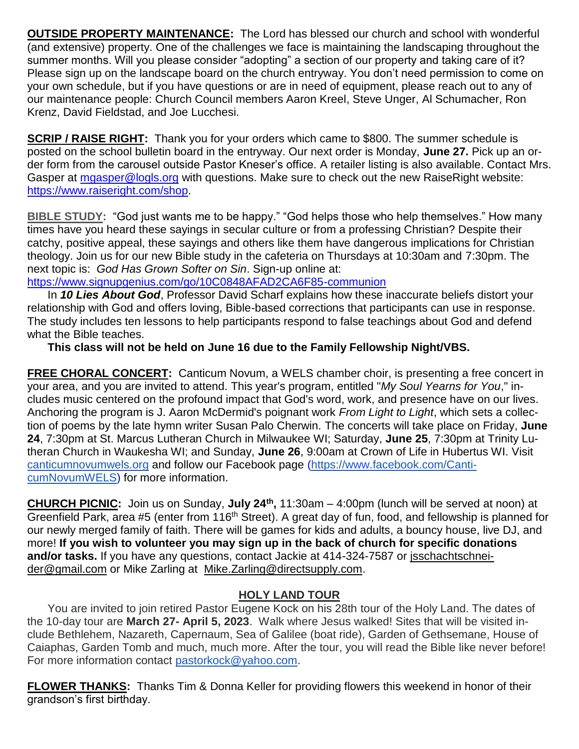**OUTSIDE PROPERTY MAINTENANCE:** The Lord has blessed our church and school with wonderful (and extensive) property. One of the challenges we face is maintaining the landscaping throughout the summer months. Will you please consider "adopting" a section of our property and taking care of it? Please sign up on the landscape board on the church entryway. You don't need permission to come on your own schedule, but if you have questions or are in need of equipment, please reach out to any of our maintenance people: Church Council members Aaron Kreel, Steve Unger, Al Schumacher, Ron Krenz, David Fieldstad, and Joe Lucchesi.

**SCRIP / RAISE RIGHT:** Thank you for your orders which came to \$800. The summer schedule is posted on the school bulletin board in the entryway. Our next order is Monday, **June 27.** Pick up an order form from the carousel outside Pastor Kneser's office. A retailer listing is also available. Contact Mrs. Gasper at mgasper@logls.org with questions. Make sure to check out the new RaiseRight website: https://www.raiseright.com/shop.

**BIBLE STUDY:** "God just wants me to be happy." "God helps those who help themselves." How many times have you heard these sayings in secular culture or from a professing Christian? Despite their catchy, positive appeal, these sayings and others like them have dangerous implications for Christian theology. Join us for our new Bible study in the cafeteria on Thursdays at 10:30am and 7:30pm. The next topic is: *God Has Grown Softer on Sin*. Sign-up online at:

https://www.signupgenius.com/go/10C0848AFAD2CA6F85-communion

In *10 Lies About God*, Professor David Scharf explains how these inaccurate beliefs distort your relationship with God and offers loving, Bible-based corrections that participants can use in response. The study includes ten lessons to help participants respond to false teachings about God and defend what the Bible teaches.

**This class will not be held on June 16 due to the Family Fellowship Night/VBS.**

**FREE CHORAL CONCERT:** Canticum Novum, a WELS chamber choir, is presenting a free concert in your area, and you are invited to attend. This year's program, entitled "*My Soul Yearns for You*," includes music centered on the profound impact that God's word, work, and presence have on our lives. Anchoring the program is J. Aaron McDermid's poignant work *From Light to Light*, which sets a collection of poems by the late hymn writer Susan Palo Cherwin. The concerts will take place on Friday, **June 24**, 7:30pm at St. Marcus Lutheran Church in Milwaukee WI; Saturday, **June 25**, 7:30pm at Trinity Lutheran Church in Waukesha WI; and Sunday, **June 26**, 9:00am at Crown of Life in Hubertus WI. Visit canticumnovumwels.org and follow our Facebook page (https://www.facebook.com/CanticumNovumWELS) for more information.

**CHURCH PICNIC:** Join us on Sunday, **July 24th ,** 11:30am – 4:00pm (lunch will be served at noon) at Greenfield Park, area #5 (enter from 116<sup>th</sup> Street). A great day of fun, food, and fellowship is planned for our newly merged family of faith. There will be games for kids and adults, a bouncy house, live DJ, and more! **If you wish to volunteer you may sign up in the back of church for specific donations and/or tasks.** If you have any questions, contact Jackie at 414-324-7587 or jsschachtschneider@gmail.com or Mike Zarling at Mike.Zarling@directsupply.com.

## **HOLY LAND TOUR**

You are invited to join retired Pastor Eugene Kock on his 28th tour of the Holy Land. The dates of the 10-day tour are **March 27- April 5, 2023**. Walk where Jesus walked! Sites that will be visited include Bethlehem, Nazareth, Capernaum, Sea of Galilee (boat ride), Garden of Gethsemane, House of Caiaphas, Garden Tomb and much, much more. After the tour, you will read the Bible like never before! For more information contact pastorkock@yahoo.com.

**FLOWER THANKS:** Thanks Tim & Donna Keller for providing flowers this weekend in honor of their grandson's first birthday.